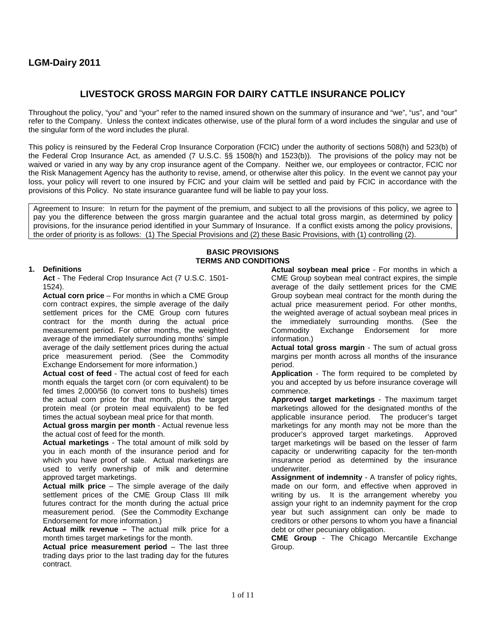# **LGM-Dairy 2011**

# **LIVESTOCK GROSS MARGIN FOR DAIRY CATTLE INSURANCE POLICY**

Throughout the policy, "you" and "your" refer to the named insured shown on the summary of insurance and "we", "us", and "our" refer to the Company. Unless the context indicates otherwise, use of the plural form of a word includes the singular and use of the singular form of the word includes the plural.

This policy is reinsured by the Federal Crop Insurance Corporation (FCIC) under the authority of sections 508(h) and 523(b) of the Federal Crop Insurance Act, as amended (7 U.S.C. §§ 1508(h) and 1523(b)). The provisions of the policy may not be waived or varied in any way by any crop insurance agent of the Company. Neither we, our employees or contractor, FCIC nor the Risk Management Agency has the authority to revise, amend, or otherwise alter this policy. In the event we cannot pay your loss, your policy will revert to one insured by FCIC and your claim will be settled and paid by FCIC in accordance with the provisions of this Policy. No state insurance guarantee fund will be liable to pay your loss.

Agreement to Insure: In return for the payment of the premium, and subject to all the provisions of this policy, we agree to pay you the difference between the gross margin guarantee and the actual total gross margin, as determined by policy provisions, for the insurance period identified in your Summary of Insurance. If a conflict exists among the policy provisions, the order of priority is as follows: (1) The Special Provisions and (2) these Basic Provisions, with (1) controlling (2).

### **BASIC PROVISIONS TERMS AND CONDITIONS**

#### **1. Definitions**

**Act** - The Federal Crop Insurance Act (7 U.S.C. 1501- 1524).

**Actual corn price** – For months in which a CME Group corn contract expires, the simple average of the daily settlement prices for the CME Group corn futures contract for the month during the actual price measurement period. For other months, the weighted average of the immediately surrounding months' simple average of the daily settlement prices during the actual price measurement period. (See the Commodity Exchange Endorsement for more information.)

**Actual cost of feed** - The actual cost of feed for each month equals the target corn (or corn equivalent) to be fed times 2,000/56 (to convert tons to bushels) times the actual corn price for that month, plus the target protein meal (or protein meal equivalent) to be fed times the actual soybean meal price for that month.

**Actual gross margin per month** - Actual revenue less the actual cost of feed for the month.

**Actual marketings** - The total amount of milk sold by you in each month of the insurance period and for which you have proof of sale. Actual marketings are used to verify ownership of milk and determine approved target marketings.

**Actual milk price** – The simple average of the daily settlement prices of the CME Group Class III milk futures contract for the month during the actual price measurement period. (See the Commodity Exchange Endorsement for more information.)

**Actual milk revenue –** The actual milk price for a month times target marketings for the month.

**Actual price measurement period – The last three** trading days prior to the last trading day for the futures contract.

**Actual soybean meal price** - For months in which a CME Group soybean meal contract expires, the simple average of the daily settlement prices for the CME Group soybean meal contract for the month during the actual price measurement period. For other months, the weighted average of actual soybean meal prices in the immediately surrounding months. (See the Commodity Exchange Endorsement for more information.)

**Actual total gross margin** - The sum of actual gross margins per month across all months of the insurance period.

**Application** - The form required to be completed by you and accepted by us before insurance coverage will commence.

**Approved target marketings** - The maximum target marketings allowed for the designated months of the applicable insurance period. The producer's target marketings for any month may not be more than the producer's approved target marketings. Approved target marketings will be based on the lesser of farm capacity or underwriting capacity for the ten-month insurance period as determined by the insurance underwriter.

**Assignment of indemnity** - A transfer of policy rights, made on our form, and effective when approved in writing by us. It is the arrangement whereby you assign your right to an indemnity payment for the crop year but such assignment can only be made to creditors or other persons to whom you have a financial debt or other pecuniary obligation.

**CME Group** - The Chicago Mercantile Exchange Group.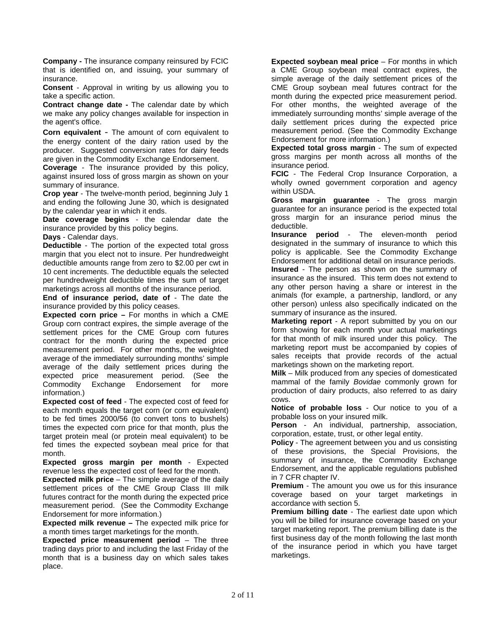**Company -** The insurance company reinsured by FCIC that is identified on, and issuing, your summary of insurance.

**Consent** - Approval in writing by us allowing you to take a specific action.

**Contract change date -** The calendar date by which we make any policy changes available for inspection in the agent's office.

**Corn equivalent** - The amount of corn equivalent to the energy content of the dairy ration used by the producer. Suggested conversion rates for dairy feeds are given in the Commodity Exchange Endorsement.

**Coverage** - The insurance provided by this policy, against insured loss of gross margin as shown on your summary of insurance.

**Crop year** - The twelve-month period, beginning July 1 and ending the following June 30, which is designated by the calendar year in which it ends.

**Date coverage begins** - the calendar date the insurance provided by this policy begins.

**Days** - Calendar days.

**Deductible** - The portion of the expected total gross margin that you elect not to insure. Per hundredweight deductible amounts range from zero to \$2.00 per cwt in 10 cent increments. The deductible equals the selected per hundredweight deductible times the sum of target marketings across all months of the insurance period.

**End of insurance period, date of** - The date the insurance provided by this policy ceases.

**Expected corn price –** For months in which a CME Group corn contract expires, the simple average of the settlement prices for the CME Group corn futures contract for the month during the expected price measurement period. For other months, the weighted average of the immediately surrounding months' simple average of the daily settlement prices during the expected price measurement period. (See the Commodity Exchange Endorsement for more information.)

**Expected cost of feed** - The expected cost of feed for each month equals the target corn (or corn equivalent) to be fed times 2000/56 (to convert tons to bushels) times the expected corn price for that month, plus the target protein meal (or protein meal equivalent) to be fed times the expected soybean meal price for that month.

**Expected gross margin per month** - Expected revenue less the expected cost of feed for the month.

**Expected milk price** – The simple average of the daily settlement prices of the CME Group Class III milk futures contract for the month during the expected price measurement period. (See the Commodity Exchange Endorsement for more information.)

**Expected milk revenue –** The expected milk price for a month times target marketings for the month.

**Expected price measurement period – The three** trading days prior to and including the last Friday of the month that is a business day on which sales takes place.

**Expected soybean meal price** – For months in which a CME Group soybean meal contract expires, the simple average of the daily settlement prices of the CME Group soybean meal futures contract for the month during the expected price measurement period. For other months, the weighted average of the immediately surrounding months' simple average of the daily settlement prices during the expected price measurement period. (See the Commodity Exchange Endorsement for more information.)

**Expected total gross margin** - The sum of expected gross margins per month across all months of the insurance period.

**FCIC** - The Federal Crop Insurance Corporation, a wholly owned government corporation and agency within USDA.

**Gross margin guarantee** - The gross margin guarantee for an insurance period is the expected total gross margin for an insurance period minus the deductible.

**Insurance period** - The eleven-month period designated in the summary of insurance to which this policy is applicable. See the Commodity Exchange Endorsement for additional detail on insurance periods. **Insured** - The person as shown on the summary of insurance as the insured. This term does not extend to any other person having a share or interest in the animals (for example, a partnership, landlord, or any other person) unless also specifically indicated on the summary of insurance as the insured.

**Marketing report** - A report submitted by you on our form showing for each month your actual marketings for that month of milk insured under this policy. The marketing report must be accompanied by copies of sales receipts that provide records of the actual marketings shown on the marketing report.

**Milk** – Milk produced from any species of domesticated mammal of the family *Bovidae* commonly grown for production of dairy products, also referred to as dairy cows.

**Notice of probable loss** - Our notice to you of a probable loss on your insured milk.

**Person** - An individual, partnership, association, corporation, estate, trust, or other legal entity.

**Policy** - The agreement between you and us consisting of these provisions, the Special Provisions, the summary of insurance, the Commodity Exchange Endorsement, and the applicable regulations published in 7 CFR chapter IV.

**Premium** - The amount you owe us for this insurance coverage based on your target marketings in accordance with section 5.

**Premium billing date** - The earliest date upon which you will be billed for insurance coverage based on your target marketing report. The premium billing date is the first business day of the month following the last month of the insurance period in which you have target marketings.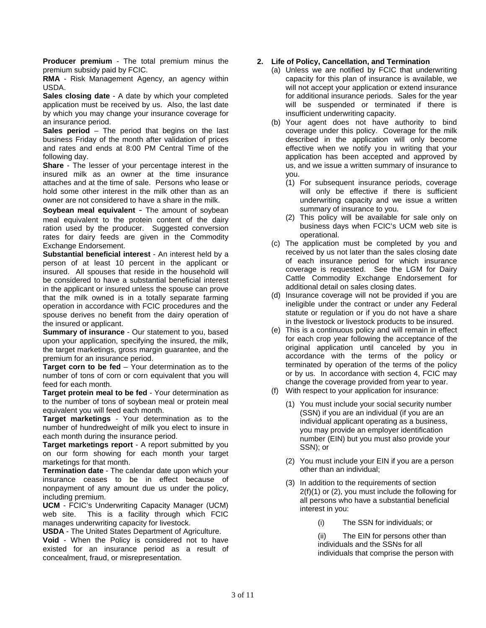**Producer premium** - The total premium minus the premium subsidy paid by FCIC.

**RMA** - Risk Management Agency, an agency within USDA.

**Sales closing date** - A date by which your completed application must be received by us. Also, the last date by which you may change your insurance coverage for an insurance period.

**Sales period** – The period that begins on the last business Friday of the month after validation of prices and rates and ends at 8:00 PM Central Time of the following day.

**Share** - The lesser of your percentage interest in the insured milk as an owner at the time insurance attaches and at the time of sale. Persons who lease or hold some other interest in the milk other than as an owner are not considered to have a share in the milk.

**Soybean meal equivalent** - The amount of soybean meal equivalent to the protein content of the dairy ration used by the producer. Suggested conversion rates for dairy feeds are given in the Commodity Exchange Endorsement.

**Substantial beneficial interest** - An interest held by a person of at least 10 percent in the applicant or insured. All spouses that reside in the household will be considered to have a substantial beneficial interest in the applicant or insured unless the spouse can prove that the milk owned is in a totally separate farming operation in accordance with FCIC procedures and the spouse derives no benefit from the dairy operation of the insured or applicant.

**Summary of insurance** - Our statement to you, based upon your application, specifying the insured, the milk, the target marketings, gross margin guarantee, and the premium for an insurance period.

**Target corn to be fed** – Your determination as to the number of tons of corn or corn equivalent that you will feed for each month.

**Target protein meal to be fed** - Your determination as to the number of tons of soybean meal or protein meal equivalent you will feed each month.

**Target marketings** - Your determination as to the number of hundredweight of milk you elect to insure in each month during the insurance period.

**Target marketings report** - A report submitted by you on our form showing for each month your target marketings for that month.

**Termination date** - The calendar date upon which your insurance ceases to be in effect because of nonpayment of any amount due us under the policy, including premium.

**UCM** - FCIC's Underwriting Capacity Manager (UCM) web site. This is a facility through which FCIC manages underwriting capacity for livestock.

**USDA** - The United States Department of Agriculture.

**Void** - When the Policy is considered not to have existed for an insurance period as a result of concealment, fraud, or misrepresentation.

## **2. Life of Policy, Cancellation, and Termination**

- (a) Unless we are notified by FCIC that underwriting capacity for this plan of insurance is available, we will not accept your application or extend insurance for additional insurance periods. Sales for the year will be suspended or terminated if there is insufficient underwriting capacity.
- (b) Your agent does not have authority to bind coverage under this policy. Coverage for the milk described in the application will only become effective when we notify you in writing that your application has been accepted and approved by us, and we issue a written summary of insurance to you.
	- (1) For subsequent insurance periods, coverage will only be effective if there is sufficient underwriting capacity and we issue a written summary of insurance to you.
	- (2) This policy will be available for sale only on business days when FCIC's UCM web site is operational.
- (c) The application must be completed by you and received by us not later than the sales closing date of each insurance period for which insurance coverage is requested. See the LGM for Dairy Cattle Commodity Exchange Endorsement for additional detail on sales closing dates.
- (d) Insurance coverage will not be provided if you are ineligible under the contract or under any Federal statute or regulation or if you do not have a share in the livestock or livestock products to be insured.
- (e) This is a continuous policy and will remain in effect for each crop year following the acceptance of the original application until canceled by you in accordance with the terms of the policy or terminated by operation of the terms of the policy or by us. In accordance with section 4, FCIC may change the coverage provided from year to year.
- (f) With respect to your application for insurance:
	- (1) You must include your social security number (SSN) if you are an individual (if you are an individual applicant operating as a business, you may provide an employer identification number (EIN) but you must also provide your SSN); or
	- (2) You must include your EIN if you are a person other than an individual;
	- (3) In addition to the requirements of section 2(f)(1) or (2), you must include the following for all persons who have a substantial beneficial interest in you:
		- (i) The SSN for individuals; or

The EIN for persons other than individuals and the SSNs for all individuals that comprise the person with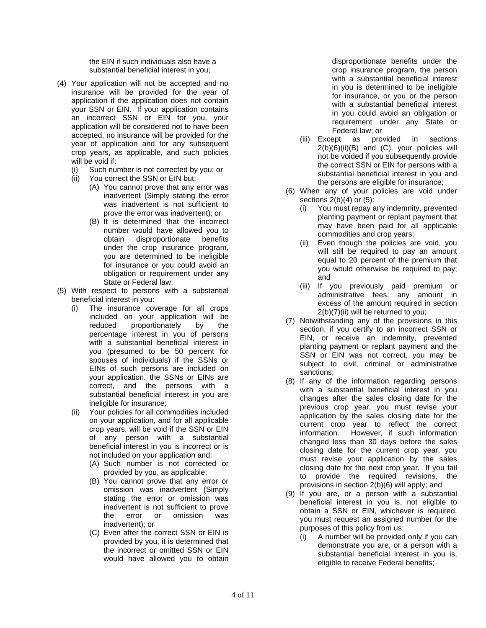the EIN if such individuals also have a substantial beneficial interest in you;

- (4) Your application will not be accepted and no insurance will be provided for the year of application if the application does not contain your SSN or EIN. If your application contains an incorrect SSN or EIN for you, your application will be considered not to have been accepted, no insurance will be provided for the year of application and for any subsequent crop years, as applicable, and such policies will be void if:
	- (i) Such number is not corrected by you; or
	- (ii) You correct the SSN or EIN but:
		- (A) You cannot prove that any error was inadvertent (Simply stating the error was inadvertent is not sufficient to prove the error was inadvertent); or
		- (B) It is determined that the incorrect number would have allowed you to obtain disproportionate benefits under the crop insurance program, you are determined to be ineligible for insurance or you could avoid an obligation or requirement under any State or Federal law;
- (5) With respect to persons with a substantial beneficial interest in you:
	- (i) The insurance coverage for all crops included on your application will be reduced proportionately by the percentage interest in you of persons with a substantial beneficial interest in you (presumed to be 50 percent for spouses of individuals) if the SSNs or EINs of such persons are included on your application, the SSNs or EINs are correct, and the persons with a substantial beneficial interest in you are ineligible for insurance;
	- (ii) Your policies for all commodities included on your application, and for all applicable crop years, will be void if the SSN or EIN of any person with a substantial beneficial interest in you is incorrect or is not included on your application and:
		- (A) Such number is not corrected or provided by you, as applicable;
		- (B) You cannot prove that any error or omission was inadvertent (Simply stating the error or omission was inadvertent is not sufficient to prove the error or omission was inadvertent); or
		- (C) Even after the correct SSN or EIN is provided by you, it is determined that the incorrect or omitted SSN or EIN would have allowed you to obtain

disproportionate benefits under the crop insurance program, the person with a substantial beneficial interest in you is determined to be ineligible for insurance, or you or the person with a substantial beneficial interest in you could avoid an obligation or requirement under any State or Federal law; or

- (iii) Except as provided in sections 2(b)(6)(ii)(B) and (C), your policies will not be voided if you subsequently provide the correct SSN or EIN for persons with a substantial beneficial interest in you and the persons are eligible for insurance;
- (6) When any of your policies are void under sections  $2(b)(4)$  or  $(5)$ :
	- (i) You must repay any indemnity, prevented planting payment or replant payment that may have been paid for all applicable commodities and crop years;
	- (ii) Even though the policies are void, you will still be required to pay an amount equal to 20 percent of the premium that you would otherwise be required to pay; and
	- (iii) If you previously paid premium or administrative fees, any amount in excess of the amount required in section 2(b)(7)(ii) will be returned to you;
- (7) Notwithstanding any of the provisions in this section, if you certify to an incorrect SSN or EIN, or receive an indemnity, prevented planting payment or replant payment and the SSN or EIN was not correct, you may be subject to civil, criminal or administrative sanctions;
- (8) If any of the information regarding persons with a substantial beneficial interest in you changes after the sales closing date for the previous crop year, you must revise your application by the sales closing date for the current crop year to reflect the correct information. However, if such information changed less than 30 days before the sales closing date for the current crop year, you must revise your application by the sales closing date for the next crop year. If you fail to provide the required revisions, the provisions in section 2(b)(6) will apply; and
- (9) If you are, or a person with a substantial beneficial interest in you is, not eligible to obtain a SSN or EIN, whichever is required, you must request an assigned number for the purposes of this policy from us:
	- (i) A number will be provided only if you can demonstrate you are, or a person with a substantial beneficial interest in you is, eligible to receive Federal benefits;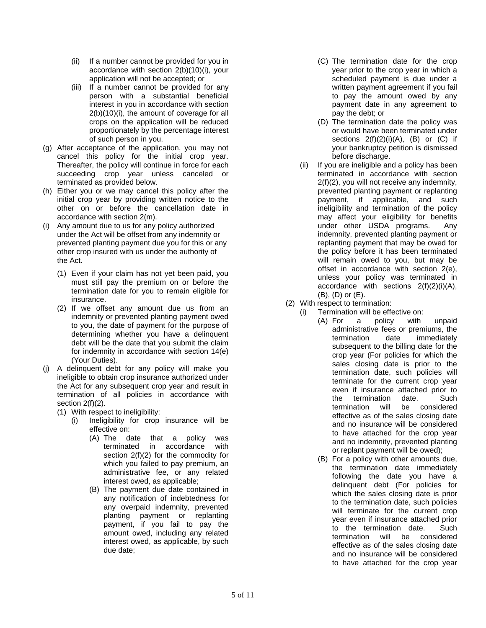- (ii) If a number cannot be provided for you in accordance with section 2(b)(10)(i), your application will not be accepted; or
- (iii) If a number cannot be provided for any person with a substantial beneficial interest in you in accordance with section 2(b)(10)(i), the amount of coverage for all crops on the application will be reduced proportionately by the percentage interest of such person in you.
- (g) After acceptance of the application, you may not cancel this policy for the initial crop year. Thereafter, the policy will continue in force for each succeeding crop year unless canceled or terminated as provided below.
- (h) Either you or we may cancel this policy after the initial crop year by providing written notice to the other on or before the cancellation date in accordance with section 2(m).
- (i) Any amount due to us for any policy authorized under the Act will be offset from any indemnity or prevented planting payment due you for this or any other crop insured with us under the authority of the Act.
	- (1) Even if your claim has not yet been paid, you must still pay the premium on or before the termination date for you to remain eligible for insurance.
	- (2) If we offset any amount due us from an indemnity or prevented planting payment owed to you, the date of payment for the purpose of determining whether you have a delinquent debt will be the date that you submit the claim for indemnity in accordance with section 14(e) (Your Duties).
- (j) A delinquent debt for any policy will make you ineligible to obtain crop insurance authorized under the Act for any subsequent crop year and result in termination of all policies in accordance with section 2(f)(2).
	- (1) With respect to ineligibility:
		- (i) Ineligibility for crop insurance will be effective on:
			- (A) The date that a policy was terminated in accordance with section 2(f)(2) for the commodity for which you failed to pay premium, an administrative fee, or any related interest owed, as applicable;
			- (B) The payment due date contained in any notification of indebtedness for any overpaid indemnity, prevented planting payment or replanting payment, if you fail to pay the amount owed, including any related interest owed, as applicable, by such due date;
- (C) The termination date for the crop year prior to the crop year in which a scheduled payment is due under a written payment agreement if you fail to pay the amount owed by any payment date in any agreement to pay the debt; or
- (D) The termination date the policy was or would have been terminated under sections  $2(f)(2)(i)(A)$ ,  $(B)$  or  $(C)$  if your bankruptcy petition is dismissed before discharge.
- (ii) If you are ineligible and a policy has been terminated in accordance with section 2(f)(2), you will not receive any indemnity, prevented planting payment or replanting payment, if applicable, and such ineligibility and termination of the policy may affect your eligibility for benefits under other USDA programs. Any indemnity, prevented planting payment or replanting payment that may be owed for the policy before it has been terminated will remain owed to you, but may be offset in accordance with section 2(e), unless your policy was terminated in accordance with sections 2(f)(2)(i)(A), (B), (D) or (E).
- (2) With respect to termination:
	- (i) Termination will be effective on:<br>(A) For a policy with
		- (A) For a policy with unpaid administrative fees or premiums, the termination date immediately subsequent to the billing date for the crop year (For policies for which the sales closing date is prior to the termination date, such policies will terminate for the current crop year even if insurance attached prior to the termination date. Such<br>termination will be considered termination will effective as of the sales closing date and no insurance will be considered to have attached for the crop year and no indemnity, prevented planting or replant payment will be owed);
		- (B) For a policy with other amounts due, the termination date immediately following the date you have a delinquent debt (For policies for which the sales closing date is prior to the termination date, such policies will terminate for the current crop year even if insurance attached prior to the termination date. Such<br>termination will be considered considered effective as of the sales closing date and no insurance will be considered to have attached for the crop year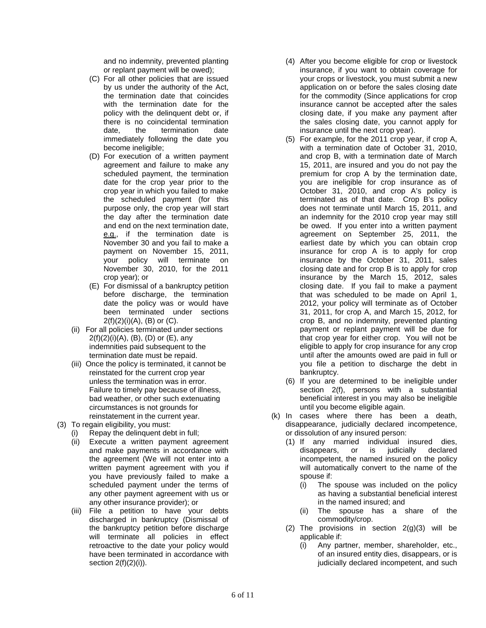and no indemnity, prevented planting or replant payment will be owed);

- (C) For all other policies that are issued by us under the authority of the Act, the termination date that coincides with the termination date for the policy with the delinquent debt or, if there is no coincidental termination date, the termination date immediately following the date you become ineligible;
- (D) For execution of a written payment agreement and failure to make any scheduled payment, the termination date for the crop year prior to the crop year in which you failed to make the scheduled payment (for this purpose only, the crop year will start the day after the termination date and end on the next termination date, e.g., if the termination date is November 30 and you fail to make a payment on November 15, 2011, your policy will terminate on November 30, 2010, for the 2011 crop year); or
- (E) For dismissal of a bankruptcy petition before discharge, the termination date the policy was or would have been terminated under sections  $2(f)(2)(i)(A)$ ,  $(B)$  or  $(C)$ .
- (ii) For all policies terminated under sections  $2(f)(2)(i)(A)$ ,  $(B)$ ,  $(D)$  or  $(E)$ , any indemnities paid subsequent to the termination date must be repaid.
- (iii) Once the policy is terminated, it cannot be reinstated for the current crop year unless the termination was in error. Failure to timely pay because of illness, bad weather, or other such extenuating circumstances is not grounds for reinstatement in the current year.
- (3) To regain eligibility, you must:
	- (i) Repay the delinquent debt in full;
	- (ii) Execute a written payment agreement and make payments in accordance with the agreement (We will not enter into a written payment agreement with you if you have previously failed to make a scheduled payment under the terms of any other payment agreement with us or any other insurance provider); or
	- (iii) File a petition to have your debts discharged in bankruptcy (Dismissal of the bankruptcy petition before discharge will terminate all policies in effect retroactive to the date your policy would have been terminated in accordance with section 2(f)(2)(i)).
- (4) After you become eligible for crop or livestock insurance, if you want to obtain coverage for your crops or livestock, you must submit a new application on or before the sales closing date for the commodity (Since applications for crop insurance cannot be accepted after the sales closing date, if you make any payment after the sales closing date, you cannot apply for insurance until the next crop year).
- (5) For example, for the 2011 crop year, if crop A, with a termination date of October 31, 2010, and crop B, with a termination date of March 15, 2011, are insured and you do not pay the premium for crop A by the termination date, you are ineligible for crop insurance as of October 31, 2010, and crop A's policy is terminated as of that date. Crop B's policy does not terminate until March 15, 2011, and an indemnity for the 2010 crop year may still be owed. If you enter into a written payment agreement on September 25, 2011, the earliest date by which you can obtain crop insurance for crop A is to apply for crop insurance by the October 31, 2011, sales closing date and for crop B is to apply for crop insurance by the March 15, 2012, sales closing date. If you fail to make a payment that was scheduled to be made on April 1, 2012, your policy will terminate as of October 31, 2011, for crop A, and March 15, 2012, for crop B, and no indemnity, prevented planting payment or replant payment will be due for that crop year for either crop. You will not be eligible to apply for crop insurance for any crop until after the amounts owed are paid in full or you file a petition to discharge the debt in bankruptcy.
- (6) If you are determined to be ineligible under section 2(f), persons with a substantial beneficial interest in you may also be ineligible until you become eligible again.
- (k) In cases where there has been a death, disappearance, judicially declared incompetence, or dissolution of any insured person:
	- (1) If any married individual insured dies, disappears, or is judicially declared incompetent, the named insured on the policy will automatically convert to the name of the spouse if:
		- (i) The spouse was included on the policy as having a substantial beneficial interest in the named insured; and
		- (ii) The spouse has a share of the commodity/crop.
	- (2) The provisions in section  $2(g)(3)$  will be applicable if:
		- (i) Any partner, member, shareholder, etc., of an insured entity dies, disappears, or is judicially declared incompetent, and such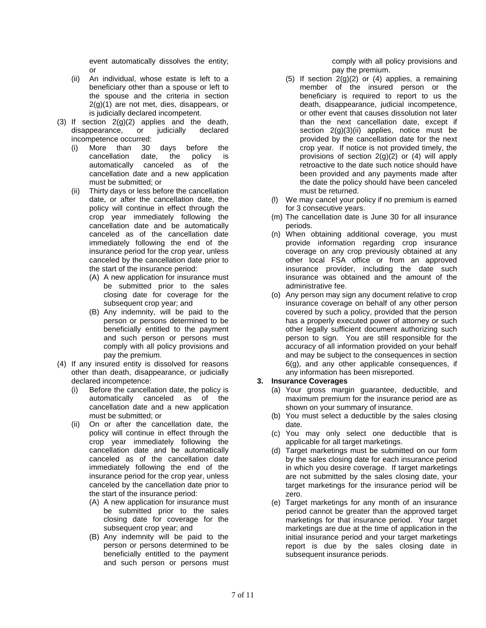event automatically dissolves the entity; or

- (ii) An individual, whose estate is left to a beneficiary other than a spouse or left to the spouse and the criteria in section  $2(g)(1)$  are not met, dies, disappears, or is judicially declared incompetent.
- (3) If section  $2(g)(2)$  applies and the death,<br>disappearance, or judicially declared disappearance, incompetence occurred:
	- (i) More than 30 days before the cancellation date, the policy is automatically canceled as of the cancellation date and a new application must be submitted; or
	- (ii) Thirty days or less before the cancellation date, or after the cancellation date, the policy will continue in effect through the crop year immediately following the cancellation date and be automatically canceled as of the cancellation date immediately following the end of the insurance period for the crop year, unless canceled by the cancellation date prior to the start of the insurance period:
		- (A) A new application for insurance must be submitted prior to the sales closing date for coverage for the subsequent crop year; and
		- (B) Any indemnity, will be paid to the person or persons determined to be beneficially entitled to the payment and such person or persons must comply with all policy provisions and pay the premium.
- (4) If any insured entity is dissolved for reasons other than death, disappearance, or judicially declared incompetence:
	- (i) Before the cancellation date, the policy is automatically canceled as of the cancellation date and a new application must be submitted; or
	- (ii) On or after the cancellation date, the policy will continue in effect through the crop year immediately following the cancellation date and be automatically canceled as of the cancellation date immediately following the end of the insurance period for the crop year, unless canceled by the cancellation date prior to the start of the insurance period:
		- (A) A new application for insurance must be submitted prior to the sales closing date for coverage for the subsequent crop year; and
		- (B) Any indemnity will be paid to the person or persons determined to be beneficially entitled to the payment and such person or persons must

comply with all policy provisions and pay the premium.

- (5) If section 2(g)(2) or (4) applies, a remaining member of the insured person or the beneficiary is required to report to us the death, disappearance, judicial incompetence, or other event that causes dissolution not later than the next cancellation date, except if section 2(g)(3)(ii) applies, notice must be provided by the cancellation date for the next crop year. If notice is not provided timely, the provisions of section 2(g)(2) or (4) will apply retroactive to the date such notice should have been provided and any payments made after the date the policy should have been canceled must be returned.
- (l) We may cancel your policy if no premium is earned for 3 consecutive years.
- (m) The cancellation date is June 30 for all insurance periods.
- (n) When obtaining additional coverage, you must provide information regarding crop insurance coverage on any crop previously obtained at any other local FSA office or from an approved insurance provider, including the date such insurance was obtained and the amount of the administrative fee.
- (o) Any person may sign any document relative to crop insurance coverage on behalf of any other person covered by such a policy, provided that the person has a properly executed power of attorney or such other legally sufficient document authorizing such person to sign. You are still responsible for the accuracy of all information provided on your behalf and may be subject to the consequences in section 6(g), and any other applicable consequences, if any information has been misreported.

# **3. Insurance Coverages**

- (a) Your gross margin guarantee, deductible, and maximum premium for the insurance period are as shown on your summary of insurance.
- (b) You must select a deductible by the sales closing date.
- (c) You may only select one deductible that is applicable for all target marketings.
- (d) Target marketings must be submitted on our form by the sales closing date for each insurance period in which you desire coverage. If target marketings are not submitted by the sales closing date, your target marketings for the insurance period will be zero.
- (e) Target marketings for any month of an insurance period cannot be greater than the approved target marketings for that insurance period. Your target marketings are due at the time of application in the initial insurance period and your target marketings report is due by the sales closing date in subsequent insurance periods.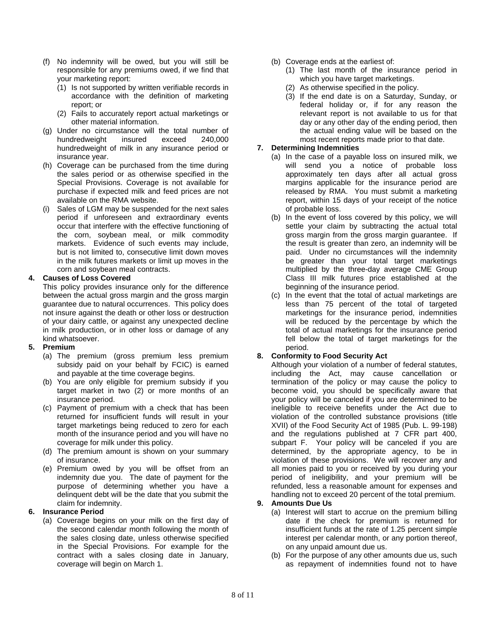- (f) No indemnity will be owed, but you will still be responsible for any premiums owed, if we find that your marketing report:
	- (1) Is not supported by written verifiable records in accordance with the definition of marketing report; or
	- (2) Fails to accurately report actual marketings or other material information.
- (g) Under no circumstance will the total number of hundredweight insured exceed 240,000 hundredweight of milk in any insurance period or insurance year.
- (h) Coverage can be purchased from the time during the sales period or as otherwise specified in the Special Provisions. Coverage is not available for purchase if expected milk and feed prices are not available on the RMA website.
- (i) Sales of LGM may be suspended for the next sales period if unforeseen and extraordinary events occur that interfere with the effective functioning of the corn, soybean meal, or milk commodity markets. Evidence of such events may include, but is not limited to, consecutive limit down moves in the milk futures markets or limit up moves in the corn and soybean meal contracts.

## **4. Causes of Loss Covered**

This policy provides insurance only for the difference between the actual gross margin and the gross margin guarantee due to natural occurrences. This policy does not insure against the death or other loss or destruction of your dairy cattle, or against any unexpected decline in milk production, or in other loss or damage of any kind whatsoever.

#### **5. Premium**

- (a) The premium (gross premium less premium subsidy paid on your behalf by FCIC) is earned and payable at the time coverage begins.
- (b) You are only eligible for premium subsidy if you target market in two (2) or more months of an insurance period.
- (c) Payment of premium with a check that has been returned for insufficient funds will result in your target marketings being reduced to zero for each month of the insurance period and you will have no coverage for milk under this policy.
- (d) The premium amount is shown on your summary of insurance.
- (e) Premium owed by you will be offset from an indemnity due you. The date of payment for the purpose of determining whether you have a delinquent debt will be the date that you submit the claim for indemnity.

#### **6. Insurance Period**

(a) Coverage begins on your milk on the first day of the second calendar month following the month of the sales closing date, unless otherwise specified in the Special Provisions. For example for the contract with a sales closing date in January, coverage will begin on March 1.

- (b) Coverage ends at the earliest of:
	- (1) The last month of the insurance period in which you have target marketings.
	- (2) As otherwise specified in the policy.
	- (3) If the end date is on a Saturday, Sunday, or federal holiday or, if for any reason the relevant report is not available to us for that day or any other day of the ending period, then the actual ending value will be based on the most recent reports made prior to that date.

## **7. Determining Indemnities**

- (a) In the case of a payable loss on insured milk, we will send you a notice of probable loss approximately ten days after all actual gross margins applicable for the insurance period are released by RMA. You must submit a marketing report, within 15 days of your receipt of the notice of probable loss.
- (b) In the event of loss covered by this policy, we will settle your claim by subtracting the actual total gross margin from the gross margin guarantee. If the result is greater than zero, an indemnity will be paid. Under no circumstances will the indemnity be greater than your total target marketings multiplied by the three-day average CME Group Class III milk futures price established at the beginning of the insurance period.
- (c) In the event that the total of actual marketings are less than 75 percent of the total of targeted marketings for the insurance period, indemnities will be reduced by the percentage by which the total of actual marketings for the insurance period fell below the total of target marketings for the period.

# **8. Conformity to Food Security Act**

Although your violation of a number of federal statutes, including the Act, may cause cancellation or termination of the policy or may cause the policy to become void, you should be specifically aware that your policy will be canceled if you are determined to be ineligible to receive benefits under the Act due to violation of the controlled substance provisions (title XVII) of the Food Security Act of 1985 (Pub. L. 99-198) and the regulations published at 7 CFR part 400, subpart F. Your policy will be canceled if you are determined, by the appropriate agency, to be in violation of these provisions. We will recover any and all monies paid to you or received by you during your period of ineligibility, and your premium will be refunded, less a reasonable amount for expenses and handling not to exceed 20 percent of the total premium.

#### **9. Amounts Due Us**

- (a) Interest will start to accrue on the premium billing date if the check for premium is returned for insufficient funds at the rate of 1.25 percent simple interest per calendar month, or any portion thereof, on any unpaid amount due us.
- (b) For the purpose of any other amounts due us, such as repayment of indemnities found not to have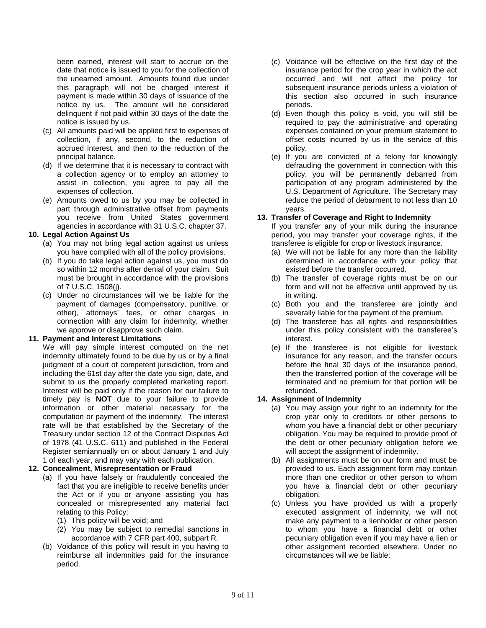been earned, interest will start to accrue on the date that notice is issued to you for the collection of the unearned amount. Amounts found due under this paragraph will not be charged interest if payment is made within 30 days of issuance of the notice by us. The amount will be considered delinquent if not paid within 30 days of the date the notice is issued by us.

- (c) All amounts paid will be applied first to expenses of collection, if any, second, to the reduction of accrued interest, and then to the reduction of the principal balance.
- (d) If we determine that it is necessary to contract with a collection agency or to employ an attorney to assist in collection, you agree to pay all the expenses of collection.
- (e) Amounts owed to us by you may be collected in part through administrative offset from payments you receive from United States government agencies in accordance with 31 U.S.C. chapter 37.

#### **10. Legal Action Against Us**

- (a) You may not bring legal action against us unless you have complied with all of the policy provisions.
- (b) If you do take legal action against us, you must do so within 12 months after denial of your claim. Suit must be brought in accordance with the provisions of 7 U.S.C. 1508(j).
- (c) Under no circumstances will we be liable for the payment of damages (compensatory, punitive, or other), attorneys' fees, or other charges in connection with any claim for indemnity, whether we approve or disapprove such claim.

#### **11. Payment and Interest Limitations**

We will pay simple interest computed on the net indemnity ultimately found to be due by us or by a final judgment of a court of competent jurisdiction, from and including the 61st day after the date you sign, date, and submit to us the properly completed marketing report. Interest will be paid only if the reason for our failure to timely pay is **NOT** due to your failure to provide information or other material necessary for the computation or payment of the indemnity. The interest rate will be that established by the Secretary of the Treasury under section 12 of the Contract Disputes Act of 1978 (41 U.S.C. 611) and published in the Federal Register semiannually on or about January 1 and July 1 of each year, and may vary with each publication.

# **12. Concealment, Misrepresentation or Fraud**

- (a) If you have falsely or fraudulently concealed the fact that you are ineligible to receive benefits under the Act or if you or anyone assisting you has concealed or misrepresented any material fact relating to this Policy:
	- (1) This policy will be void; and
	- (2) You may be subject to remedial sanctions in accordance with 7 CFR part 400, subpart R.
- (b) Voidance of this policy will result in you having to reimburse all indemnities paid for the insurance period.
- (c) Voidance will be effective on the first day of the insurance period for the crop year in which the act occurred and will not affect the policy for subsequent insurance periods unless a violation of this section also occurred in such insurance periods.
- (d) Even though this policy is void, you will still be required to pay the administrative and operating expenses contained on your premium statement to offset costs incurred by us in the service of this policy.
- (e) If you are convicted of a felony for knowingly defrauding the government in connection with this policy, you will be permanently debarred from participation of any program administered by the U.S. Department of Agriculture. The Secretary may reduce the period of debarment to not less than 10 years.

## **13. Transfer of Coverage and Right to Indemnity**

If you transfer any of your milk during the insurance period, you may transfer your coverage rights, if the transferee is eligible for crop or livestock insurance.

- (a) We will not be liable for any more than the liability determined in accordance with your policy that existed before the transfer occurred.
- (b) The transfer of coverage rights must be on our form and will not be effective until approved by us in writing.
- (c) Both you and the transferee are jointly and severally liable for the payment of the premium.
- (d) The transferee has all rights and responsibilities under this policy consistent with the transferee's interest.
- (e) If the transferee is not eligible for livestock insurance for any reason, and the transfer occurs before the final 30 days of the insurance period, then the transferred portion of the coverage will be terminated and no premium for that portion will be refunded.

# **14. Assignment of Indemnity**

- (a) You may assign your right to an indemnity for the crop year only to creditors or other persons to whom you have a financial debt or other pecuniary obligation. You may be required to provide proof of the debt or other pecuniary obligation before we will accept the assignment of indemnity.
- (b) All assignments must be on our form and must be provided to us. Each assignment form may contain more than one creditor or other person to whom you have a financial debt or other pecuniary obligation.
- (c) Unless you have provided us with a properly executed assignment of indemnity, we will not make any payment to a lienholder or other person to whom you have a financial debt or other pecuniary obligation even if you may have a lien or other assignment recorded elsewhere. Under no circumstances will we be liable: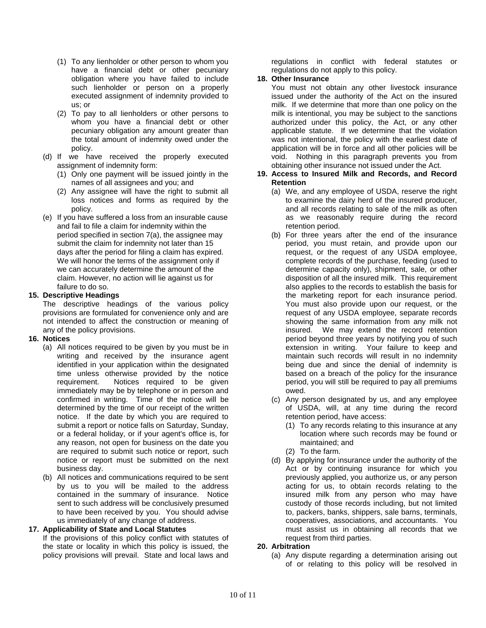- (1) To any lienholder or other person to whom you have a financial debt or other pecuniary obligation where you have failed to include such lienholder or person on a properly executed assignment of indemnity provided to us; or
- (2) To pay to all lienholders or other persons to whom you have a financial debt or other pecuniary obligation any amount greater than the total amount of indemnity owed under the policy.
- (d) If we have received the properly executed assignment of indemnity form:
	- (1) Only one payment will be issued jointly in the names of all assignees and you; and
	- (2) Any assignee will have the right to submit all loss notices and forms as required by the policy.
- (e) If you have suffered a loss from an insurable cause and fail to file a claim for indemnity within the period specified in section 7(a), the assignee may submit the claim for indemnity not later than 15 days after the period for filing a claim has expired. We will honor the terms of the assignment only if we can accurately determine the amount of the claim. However, no action will lie against us for failure to do so.

#### **15. Descriptive Headings**

The descriptive headings of the various policy provisions are formulated for convenience only and are not intended to affect the construction or meaning of any of the policy provisions.

#### **16. Notices**

- (a) All notices required to be given by you must be in writing and received by the insurance agent identified in your application within the designated time unless otherwise provided by the notice requirement. Notices required to be given immediately may be by telephone or in person and confirmed in writing. Time of the notice will be determined by the time of our receipt of the written notice. If the date by which you are required to submit a report or notice falls on Saturday, Sunday, or a federal holiday, or if your agent's office is, for any reason, not open for business on the date you are required to submit such notice or report, such notice or report must be submitted on the next business day.
- (b) All notices and communications required to be sent by us to you will be mailed to the address contained in the summary of insurance. Notice sent to such address will be conclusively presumed to have been received by you. You should advise us immediately of any change of address.

#### **17. Applicability of State and Local Statutes**

If the provisions of this policy conflict with statutes of the state or locality in which this policy is issued, the policy provisions will prevail. State and local laws and

regulations in conflict with federal statutes or regulations do not apply to this policy.

#### **18. Other Insurance**

You must not obtain any other livestock insurance issued under the authority of the Act on the insured milk. If we determine that more than one policy on the milk is intentional, you may be subject to the sanctions authorized under this policy, the Act, or any other applicable statute. If we determine that the violation was not intentional, the policy with the earliest date of application will be in force and all other policies will be void. Nothing in this paragraph prevents you from obtaining other insurance not issued under the Act.

#### **19. Access to Insured Milk and Records, and Record Retention**

- (a) We, and any employee of USDA, reserve the right to examine the dairy herd of the insured producer, and all records relating to sale of the milk as often as we reasonably require during the record retention period.
- (b) For three years after the end of the insurance period, you must retain, and provide upon our request, or the request of any USDA employee, complete records of the purchase, feeding (used to determine capacity only), shipment, sale, or other disposition of all the insured milk. This requirement also applies to the records to establish the basis for the marketing report for each insurance period. You must also provide upon our request, or the request of any USDA employee, separate records showing the same information from any milk not insured. We may extend the record retention period beyond three years by notifying you of such extension in writing. Your failure to keep and maintain such records will result in no indemnity being due and since the denial of indemnity is based on a breach of the policy for the insurance period, you will still be required to pay all premiums owed.
- (c) Any person designated by us, and any employee of USDA, will, at any time during the record retention period, have access:
	- (1) To any records relating to this insurance at any location where such records may be found or maintained; and
	- (2) To the farm.
- (d) By applying for insurance under the authority of the Act or by continuing insurance for which you previously applied, you authorize us, or any person acting for us, to obtain records relating to the insured milk from any person who may have custody of those records including, but not limited to, packers, banks, shippers, sale barns, terminals, cooperatives, associations, and accountants. You must assist us in obtaining all records that we request from third parties.

#### **20. Arbitration**

(a) Any dispute regarding a determination arising out of or relating to this policy will be resolved in